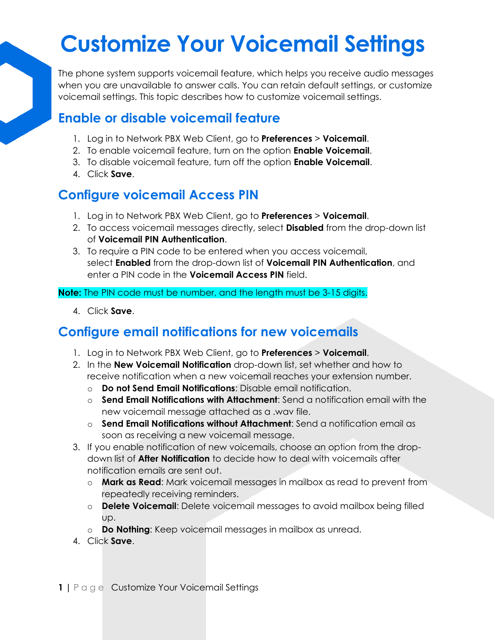## **Customize Your Voicemail Settings**

The phone system supports voicemail feature, which helps you receive audio messages when you are unavailable to answer calls. You can retain default settings, or customize voicemail settings. This topic describes how to customize voicemail settings.

#### **Enable or disable voicemail feature**

- 1. Log in to Network PBX Web Client, go to **Preferences** > **Voicemail**.
- 2. To enable voicemail feature, turn on the option **Enable Voicemail**.
- 3. To disable voicemail feature, turn off the option **Enable Voicemail**.
- 4. Click **Save**.

### **Configure voicemail Access PIN**

- 1. Log in to Network PBX Web Client, go to **Preferences** > **Voicemail**.
- 2. To access voicemail messages directly, select **Disabled** from the drop-down list of **Voicemail PIN Authentication**.
- 3. To require a PIN code to be entered when you access voicemail, select **Enabled** from the drop-down list of **Voicemail PIN Authentication**, and enter a PIN code in the **Voicemail Access PIN** field.

**Note:** The PIN code must be number, and the length must be 3-15 digits.

4. Click **Save**.

### **Configure email notifications for new voicemails**

- 1. Log in to Network PBX Web Client, go to **Preferences** > **Voicemail**.
- 2. In the **New Voicemail Notification** drop-down list, set whether and how to receive notification when a new voicemail reaches your extension number.
	- o **Do not Send Email Notifications**: Disable email notification.
	- o **Send Email Notifications with Attachment**: Send a notification email with the new voicemail message attached as a .wav file.
	- o **Send Email Notifications without Attachment**: Send a notification email as soon as receiving a new voicemail message.
- 3. If you enable notification of new voicemails, choose an option from the dropdown list of **After Notification** to decide how to deal with voicemails after notification emails are sent out.
	- o **Mark as Read**: Mark voicemail messages in mailbox as read to prevent from repeatedly receiving reminders.
	- o **Delete Voicemail**: Delete voicemail messages to avoid mailbox being filled up.
	- o **Do Nothing**: Keep voicemail messages in mailbox as unread.
- 4. Click **Save**.